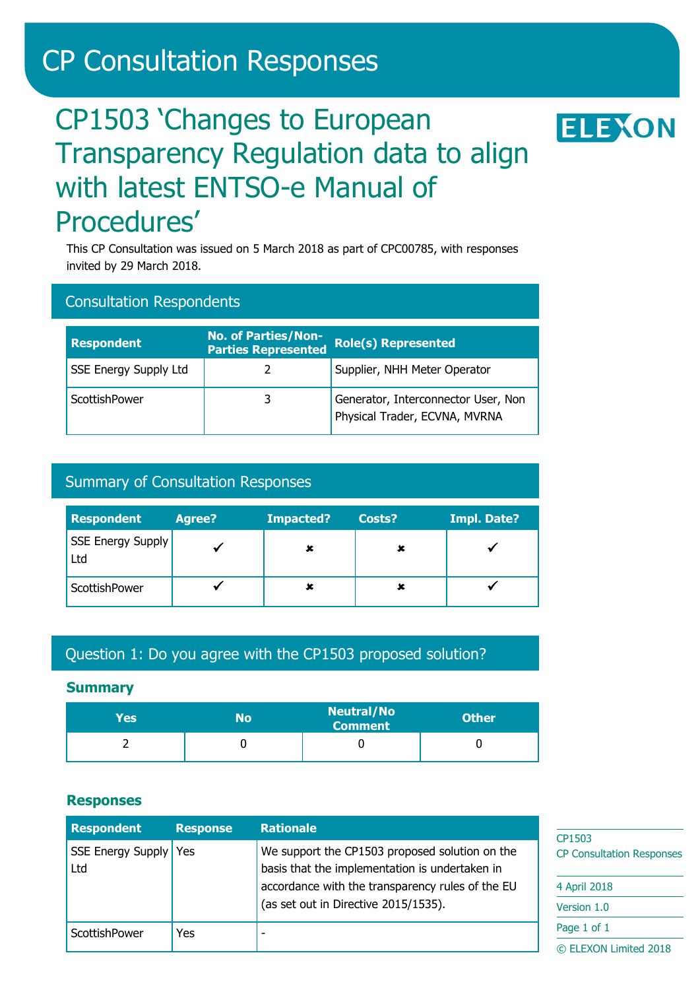# CP Consultation Responses

# CP1503 'Changes to European Transparency Regulation data to align with latest ENTSO-e Manual of Procedures'

This CP Consultation was issued on 5 March 2018 as part of CPC00785, with responses invited by 29 March 2018.

## Consultation Respondents

| <b>Respondent</b>            | <b>No. of Parties/Non-</b><br><b>Parties Represented</b> | <b>Role(s) Represented</b>                                           |
|------------------------------|----------------------------------------------------------|----------------------------------------------------------------------|
| <b>SSE Energy Supply Ltd</b> |                                                          | Supplier, NHH Meter Operator                                         |
| ScottishPower                | 3                                                        | Generator, Interconnector User, Non<br>Physical Trader, ECVNA, MVRNA |

## Summary of Consultation Responses

| <b>Respondent</b>        | <b>Agree?</b> | Impacted? | Costs? | <b>Impl. Date?</b> |
|--------------------------|---------------|-----------|--------|--------------------|
| SSE Energy Supply<br>Ltd |               |           |        |                    |
| ScottishPower            |               |           |        |                    |

## Question 1: Do you agree with the CP1503 proposed solution?

#### **Summary**

| Yes | No | <b>Neutral/No</b><br>Comment | <b>Other</b> |
|-----|----|------------------------------|--------------|
|     |    |                              |              |

#### **Responses**

| <b>Respondent</b>              | <b>Response</b> | <b>Rationale</b>                                                                                 | CP1503                           |
|--------------------------------|-----------------|--------------------------------------------------------------------------------------------------|----------------------------------|
| SSE Energy Supply   Yes<br>Ltd |                 | We support the CP1503 proposed solution on the<br>basis that the implementation is undertaken in | <b>CP Consultation Responses</b> |
|                                |                 | accordance with the transparency rules of the EU                                                 | 4 April 2018                     |
|                                |                 | (as set out in Directive 2015/1535).                                                             | Version 1.0                      |
| ScottishPower                  | Yes             |                                                                                                  | Page 1 of 1                      |
|                                |                 |                                                                                                  | © ELEXON Limited 2018            |

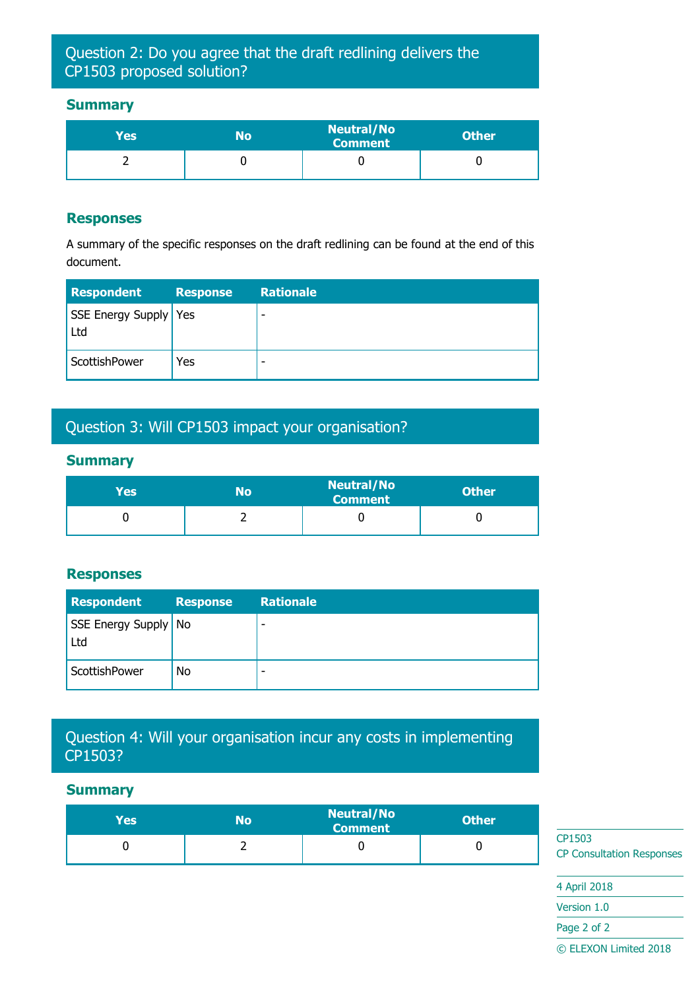## Question 2: Do you agree that the draft redlining delivers the CP1503 proposed solution?

### **Summary**

| Yes | N٥ | <b>Neutral/No</b><br>Comment | <b>Other</b> |
|-----|----|------------------------------|--------------|
|     |    |                              |              |

#### **Responses**

A summary of the specific responses on the draft redlining can be found at the end of this document.

| <b>Respondent</b>            | <b>Response</b> | <b>Rationale</b> |
|------------------------------|-----------------|------------------|
| SSE Energy Supply Yes<br>Ltd |                 | -                |
| ScottishPower                | Yes             | -                |

## Question 3: Will CP1503 impact your organisation?

### **Summary**

| Yes | No | <b>Neutral/No</b><br>Comment | <b>Other</b> |
|-----|----|------------------------------|--------------|
|     |    |                              |              |

#### **Responses**

| <b>Respondent</b>             | <b>Response</b> | <b>Rationale</b> |
|-------------------------------|-----------------|------------------|
| SSE Energy Supply   No<br>Ltd |                 | -                |
| ScottishPower                 | No              | -                |

## Question 4: Will your organisation incur any costs in implementing CP1503?

#### **Summary**

| Yesl | No | <b>Neutral/No</b><br><b>Comment</b> | <b>Other</b> |  |
|------|----|-------------------------------------|--------------|--|
|      |    |                                     |              |  |

CP1503 CP Consultation Responses

4 April 2018 Version 1.0 Page 2 of 2 © ELEXON Limited 2018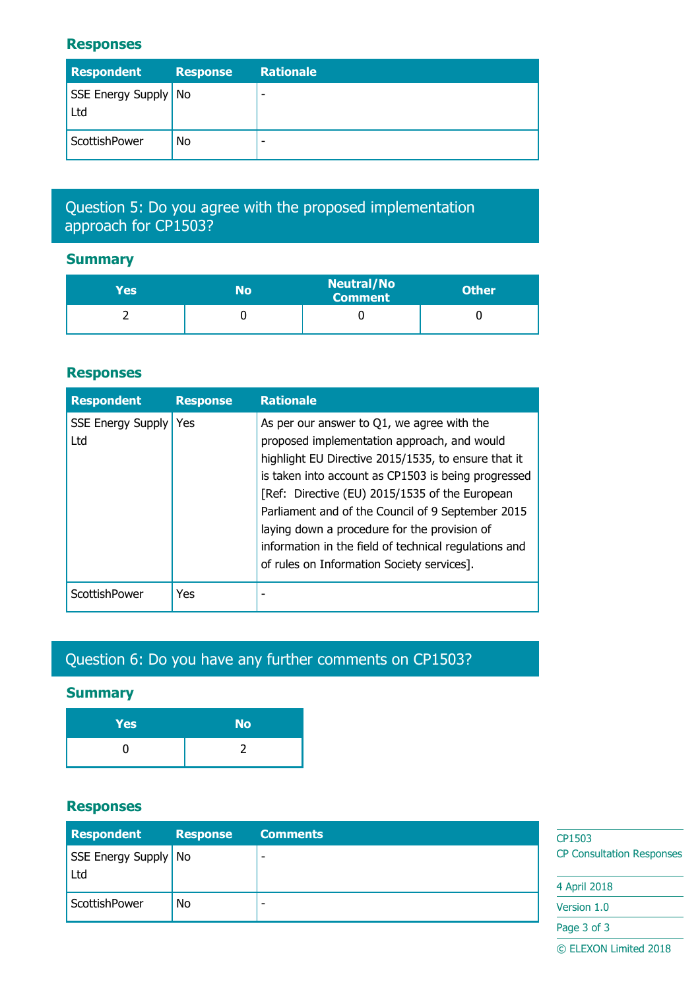#### **Responses**

| <b>Respondent</b>             | <b>Response</b> | <b>Rationale</b> |
|-------------------------------|-----------------|------------------|
| SSE Energy Supply   No<br>Ltd |                 | -                |
| ScottishPower                 | No              | -                |

## Question 5: Do you agree with the proposed implementation approach for CP1503?

## **Summary**

| Yes | No | <b>Neutral/No</b><br><b>Comment</b> | <b>Other</b> |
|-----|----|-------------------------------------|--------------|
|     |    |                                     |              |

## **Responses**

| <b>Respondent</b>               | <b>Response</b> | <b>Rationale</b>                                                                                                                                                                                                                                                                                                                                                                                                                                                         |
|---------------------------------|-----------------|--------------------------------------------------------------------------------------------------------------------------------------------------------------------------------------------------------------------------------------------------------------------------------------------------------------------------------------------------------------------------------------------------------------------------------------------------------------------------|
| <b>SSE Energy Supply</b><br>Ltd | Yes             | As per our answer to $Q1$ , we agree with the<br>proposed implementation approach, and would<br>highlight EU Directive 2015/1535, to ensure that it<br>is taken into account as CP1503 is being progressed<br>[Ref: Directive (EU) 2015/1535 of the European<br>Parliament and of the Council of 9 September 2015<br>laying down a procedure for the provision of<br>information in the field of technical regulations and<br>of rules on Information Society services]. |
| ScottishPower                   | <b>Yes</b>      |                                                                                                                                                                                                                                                                                                                                                                                                                                                                          |

## Question 6: Do you have any further comments on CP1503?

## **Summary**

| Yes | <b>No</b> |
|-----|-----------|
|     |           |

## **Responses**

| <b>Respondent</b>             | <b>Response</b> | <b>Comments</b> | CP1503                           |
|-------------------------------|-----------------|-----------------|----------------------------------|
| SSE Energy Supply   No<br>Ltd |                 |                 | <b>CP Consultation Responses</b> |
|                               |                 |                 | 4 April 2018                     |
| ScottishPower                 | No              |                 | Version 1.0                      |
|                               |                 |                 | Page 3 of 3                      |

© ELEXON Limited 2018